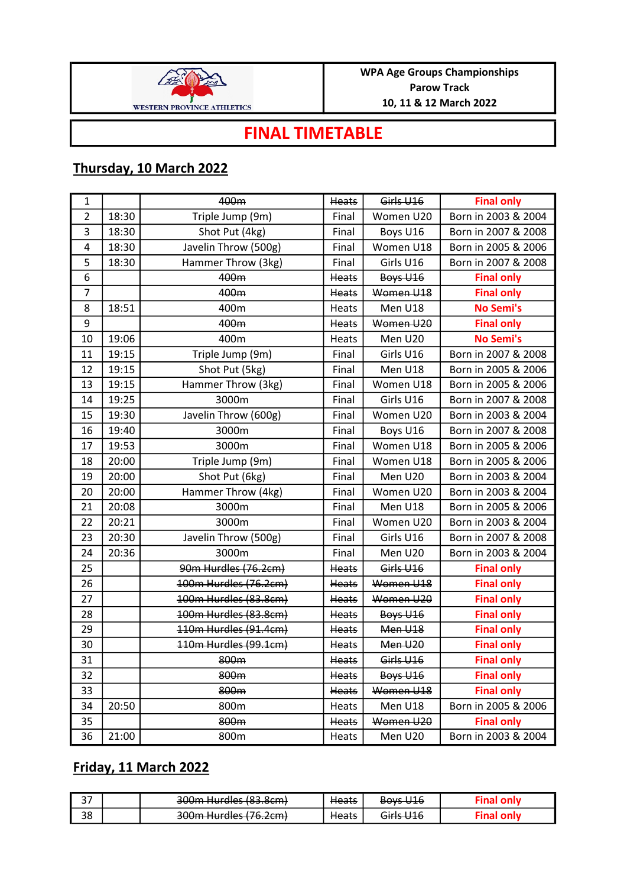

## FINAL TIMETABLE

## Thursday, 10 March 2022

| 1              |       | 400m                  | Heats        | Girls U16       | <b>Final only</b>   |
|----------------|-------|-----------------------|--------------|-----------------|---------------------|
| $\overline{2}$ | 18:30 | Triple Jump (9m)      | Final        | Women U20       | Born in 2003 & 2004 |
| 3              | 18:30 | Shot Put (4kg)        | Final        | Boys U16        | Born in 2007 & 2008 |
| 4              | 18:30 | Javelin Throw (500g)  | Final        | Women U18       | Born in 2005 & 2006 |
| 5              | 18:30 | Hammer Throw (3kg)    | Final        | Girls U16       | Born in 2007 & 2008 |
| 6              |       | 400m                  | <b>Heats</b> | <b>Boys U16</b> | <b>Final only</b>   |
| $\overline{7}$ |       | 400m                  | Heats        | Women U18       | <b>Final only</b>   |
| 8              | 18:51 | 400m                  | Heats        | Men U18         | <b>No Semi's</b>    |
| 9              |       | 400m                  | Heats        | Women U20       | <b>Final only</b>   |
| 10             | 19:06 | 400m                  | Heats        | Men U20         | <b>No Semi's</b>    |
| 11             | 19:15 | Triple Jump (9m)      | Final        | Girls U16       | Born in 2007 & 2008 |
| 12             | 19:15 | Shot Put (5kg)        | Final        | Men U18         | Born in 2005 & 2006 |
| 13             | 19:15 | Hammer Throw (3kg)    | Final        | Women U18       | Born in 2005 & 2006 |
| 14             | 19:25 | 3000m                 | Final        | Girls U16       | Born in 2007 & 2008 |
| 15             | 19:30 | Javelin Throw (600g)  | Final        | Women U20       | Born in 2003 & 2004 |
| 16             | 19:40 | 3000m                 | Final        | Boys U16        | Born in 2007 & 2008 |
| 17             | 19:53 | 3000m                 | Final        | Women U18       | Born in 2005 & 2006 |
| 18             | 20:00 | Triple Jump (9m)      | Final        | Women U18       | Born in 2005 & 2006 |
| 19             | 20:00 | Shot Put (6kg)        | Final        | Men U20         | Born in 2003 & 2004 |
| 20             | 20:00 | Hammer Throw (4kg)    | Final        | Women U20       | Born in 2003 & 2004 |
| 21             | 20:08 | 3000m                 | Final        | Men U18         | Born in 2005 & 2006 |
| 22             | 20:21 | 3000m                 | Final        | Women U20       | Born in 2003 & 2004 |
| 23             | 20:30 | Javelin Throw (500g)  | Final        | Girls U16       | Born in 2007 & 2008 |
| 24             | 20:36 | 3000m                 | Final        | Men U20         | Born in 2003 & 2004 |
| 25             |       | 90m Hurdles (76.2cm)  | <b>Heats</b> | Girls U16       | <b>Final only</b>   |
| 26             |       | 100m Hurdles (76.2cm) | Heats        | Women U18       | <b>Final only</b>   |
| 27             |       | 100m Hurdles (83.8cm) | <b>Heats</b> | Women U20       | <b>Final only</b>   |
| 28             |       | 100m Hurdles (83.8cm) | Heats        | <b>Boys U16</b> | <b>Final only</b>   |
| 29             |       | 110m Hurdles (91.4cm) | Heats        | Men U18         | <b>Final only</b>   |
| 30             |       | 110m Hurdles (99.1cm) | Heats        | Men U20         | <b>Final only</b>   |
| 31             |       | 800m                  | Heats        | Girls U16       | <b>Final only</b>   |
| 32             |       | 800m                  | Heats        | Boys U16        | <b>Final only</b>   |
| 33             |       | 800m                  | <b>Heats</b> | Women U18       | <b>Final only</b>   |
| 34             | 20:50 | 800m                  | Heats        | Men U18         | Born in 2005 & 2006 |
| 35             |       | 800m                  | Heats        | Women U20       | <b>Final only</b>   |
| 36             | 21:00 | 800m                  | Heats        | Men U20         | Born in 2003 & 2004 |

## Friday, 11 March 2022

| $\sim$ $-$ | $200m$ Hurdlac (83 8cm)<br><del>JUUIN NUNUKS (03.0CM)</del>    | <del>Heats</del> | <b>Boys U16</b>      |  |
|------------|----------------------------------------------------------------|------------------|----------------------|--|
| 38         | $200m$ Hurdles (76 $2cm$ )<br><del>soom nuraics (70.zcm)</del> | <del>Heats</del> | <del>Girls U16</del> |  |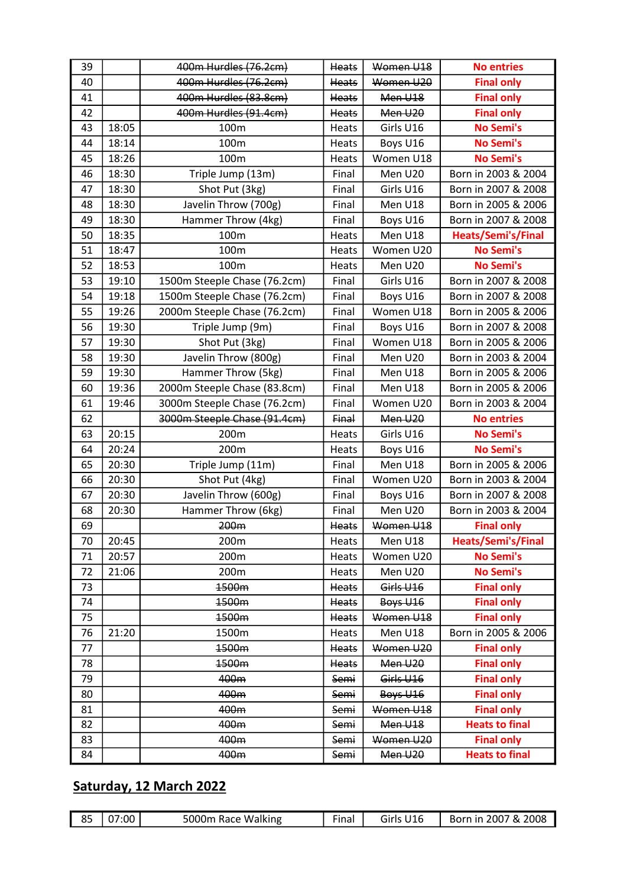| 39 |       | 400m Hurdles (76.2cm)        | Heats        | Women U18 | <b>No entries</b>     |
|----|-------|------------------------------|--------------|-----------|-----------------------|
| 40 |       | 400m Hurdles (76.2cm)        | Heats        | Women U20 | <b>Final only</b>     |
| 41 |       | 400m Hurdles (83.8cm)        | <b>Heats</b> | Men U18   | <b>Final only</b>     |
| 42 |       | 400m Hurdles (91.4cm)        | Heats        | Men U20   | <b>Final only</b>     |
| 43 | 18:05 | 100m                         | Heats        | Girls U16 | <b>No Semi's</b>      |
| 44 | 18:14 | 100m                         | Heats        | Boys U16  | <b>No Semi's</b>      |
| 45 | 18:26 | 100m                         | Heats        | Women U18 | <b>No Semi's</b>      |
| 46 | 18:30 | Triple Jump (13m)            | Final        | Men U20   | Born in 2003 & 2004   |
| 47 | 18:30 | Shot Put (3kg)               | Final        | Girls U16 | Born in 2007 & 2008   |
| 48 | 18:30 | Javelin Throw (700g)         | Final        | Men U18   | Born in 2005 & 2006   |
| 49 | 18:30 | Hammer Throw (4kg)           | Final        | Boys U16  | Born in 2007 & 2008   |
| 50 | 18:35 | 100m                         | Heats        | Men U18   | Heats/Semi's/Final    |
| 51 | 18:47 | 100m                         | Heats        | Women U20 | <b>No Semi's</b>      |
| 52 | 18:53 | 100m                         | Heats        | Men U20   | <b>No Semi's</b>      |
| 53 | 19:10 | 1500m Steeple Chase (76.2cm) | Final        | Girls U16 | Born in 2007 & 2008   |
| 54 | 19:18 | 1500m Steeple Chase (76.2cm) | Final        | Boys U16  | Born in 2007 & 2008   |
| 55 | 19:26 | 2000m Steeple Chase (76.2cm) | Final        | Women U18 | Born in 2005 & 2006   |
| 56 | 19:30 | Triple Jump (9m)             | Final        | Boys U16  | Born in 2007 & 2008   |
| 57 | 19:30 | Shot Put (3kg)               | Final        | Women U18 | Born in 2005 & 2006   |
| 58 | 19:30 | Javelin Throw (800g)         | Final        | Men U20   | Born in 2003 & 2004   |
| 59 | 19:30 | Hammer Throw (5kg)           | Final        | Men U18   | Born in 2005 & 2006   |
| 60 | 19:36 | 2000m Steeple Chase (83.8cm) | Final        | Men U18   | Born in 2005 & 2006   |
| 61 | 19:46 | 3000m Steeple Chase (76.2cm) | Final        | Women U20 | Born in 2003 & 2004   |
| 62 |       | 3000m Steeple Chase (91.4cm) | Final        | Men U20   | <b>No entries</b>     |
| 63 | 20:15 | 200m                         | Heats        | Girls U16 | <b>No Semi's</b>      |
| 64 | 20:24 | 200m                         | Heats        | Boys U16  | <b>No Semi's</b>      |
| 65 | 20:30 | Triple Jump (11m)            | Final        | Men U18   | Born in 2005 & 2006   |
| 66 | 20:30 | Shot Put (4kg)               | Final        | Women U20 | Born in 2003 & 2004   |
| 67 | 20:30 | Javelin Throw (600g)         | Final        | Boys U16  | Born in 2007 & 2008   |
| 68 | 20:30 | Hammer Throw (6kg)           | Final        | Men U20   | Born in 2003 & 2004   |
| 69 |       | 200m                         | Heats        | Women U18 | <b>Final only</b>     |
| 70 | 20:45 | 200m                         | Heats        | Men U18   | Heats/Semi's/Final    |
| 71 | 20:57 | 200m                         | Heats        | Women U20 | <b>No Semi's</b>      |
| 72 | 21:06 | 200m                         | Heats        | Men U20   | <b>No Semi's</b>      |
| 73 |       | 1500m                        | Heats        | Girls U16 | <b>Final only</b>     |
| 74 |       | 1500m                        | Heats        | Boys U16  | <b>Final only</b>     |
| 75 |       | 1500m                        | Heats        | Women U18 | <b>Final only</b>     |
| 76 | 21:20 | 1500m                        | Heats        | Men U18   | Born in 2005 & 2006   |
| 77 |       | 1500m                        | <b>Heats</b> | Women U20 | <b>Final only</b>     |
| 78 |       | 1500m                        | <b>Heats</b> | Men U20   | <b>Final only</b>     |
| 79 |       |                              |              | Girls U16 | <b>Final only</b>     |
|    |       | 400m                         | Semi         |           |                       |
| 80 |       | 400m                         | Semi         | Boys U16  | <b>Final only</b>     |
| 81 |       | 400m                         | Semi         | Women U18 | <b>Final only</b>     |
| 82 |       | 400m                         | Semi         | Men U18   | <b>Heats to final</b> |
| 83 |       | 400m                         | Semi         | Women U20 | <b>Final only</b>     |

## Saturday, 12 March 2022

|  | 85   07:00 | 5000m Race Walking | Final | Girls U16 | Born in 2007 & 2008 |
|--|------------|--------------------|-------|-----------|---------------------|
|--|------------|--------------------|-------|-----------|---------------------|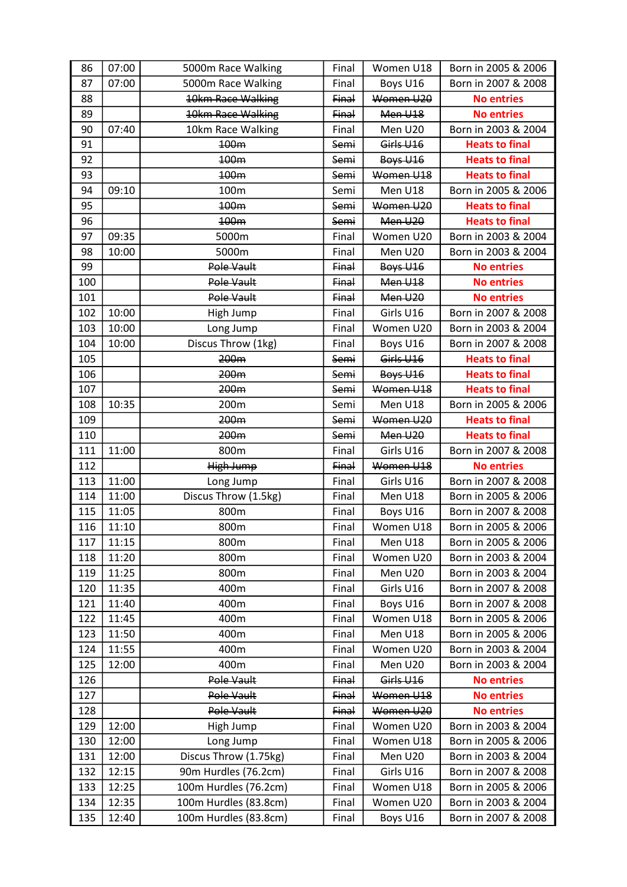| 86  | 07:00 | 5000m Race Walking    | Final | Women U18       | Born in 2005 & 2006   |
|-----|-------|-----------------------|-------|-----------------|-----------------------|
| 87  | 07:00 | 5000m Race Walking    | Final | Boys U16        | Born in 2007 & 2008   |
| 88  |       | 10km Race Walking     | Final | Women U20       | <b>No entries</b>     |
| 89  |       | 10km Race Walking     | Final | Men U18         | <b>No entries</b>     |
| 90  | 07:40 | 10km Race Walking     | Final | Men U20         | Born in 2003 & 2004   |
| 91  |       | 100m                  | Semi  | Girls U16       | <b>Heats to final</b> |
| 92  |       | 100 <sub>m</sub>      | Semi  | <b>Boys U16</b> | <b>Heats to final</b> |
| 93  |       | 100m                  | Semi  | Women U18       | <b>Heats to final</b> |
| 94  | 09:10 | 100m                  | Semi  | Men U18         | Born in 2005 & 2006   |
| 95  |       | 100m                  | Semi  | Women U20       | <b>Heats to final</b> |
| 96  |       | 100m                  | Semi  | Men U20         | <b>Heats to final</b> |
| 97  | 09:35 | 5000m                 | Final | Women U20       | Born in 2003 & 2004   |
| 98  | 10:00 | 5000m                 | Final | Men U20         | Born in 2003 & 2004   |
| 99  |       | Pole Vault            | Final | <b>Boys U16</b> | <b>No entries</b>     |
| 100 |       | Pole Vault            | Final | Men U18         | <b>No entries</b>     |
| 101 |       | Pole Vault            | Final | Men U20         | <b>No entries</b>     |
| 102 | 10:00 | High Jump             | Final | Girls U16       | Born in 2007 & 2008   |
| 103 | 10:00 | Long Jump             | Final | Women U20       | Born in 2003 & 2004   |
| 104 | 10:00 | Discus Throw (1kg)    | Final | Boys U16        | Born in 2007 & 2008   |
| 105 |       | 200m                  | Semi  | Girls U16       | <b>Heats to final</b> |
| 106 |       | 200 <sub>m</sub>      | Semi  | Boys U16        | <b>Heats to final</b> |
| 107 |       | 200 <sub>m</sub>      | Semi  | Women U18       | <b>Heats to final</b> |
| 108 | 10:35 | 200m                  | Semi  | Men U18         | Born in 2005 & 2006   |
| 109 |       | 200m                  | Semi  | Women U20       | <b>Heats to final</b> |
| 110 |       | 200 <sub>m</sub>      | Semi  | Men U20         | <b>Heats to final</b> |
| 111 | 11:00 | 800m                  | Final | Girls U16       | Born in 2007 & 2008   |
| 112 |       | High Jump             | Final | Women U18       | <b>No entries</b>     |
| 113 | 11:00 | Long Jump             | Final | Girls U16       | Born in 2007 & 2008   |
| 114 | 11:00 | Discus Throw (1.5kg)  | Final | Men U18         | Born in 2005 & 2006   |
| 115 | 11:05 | 800m                  | Final | Boys U16        | Born in 2007 & 2008   |
| 116 | 11:10 | 800m                  | Final | Women U18       | Born in 2005 & 2006   |
| 117 | 11:15 | 800m                  | Final | Men U18         | Born in 2005 & 2006   |
| 118 | 11:20 | 800m                  | Final | Women U20       | Born in 2003 & 2004   |
| 119 | 11:25 | 800m                  | Final | Men U20         | Born in 2003 & 2004   |
| 120 | 11:35 | 400m                  | Final | Girls U16       | Born in 2007 & 2008   |
| 121 | 11:40 | 400m                  | Final | Boys U16        | Born in 2007 & 2008   |
| 122 | 11:45 | 400m                  | Final | Women U18       | Born in 2005 & 2006   |
| 123 | 11:50 | 400m                  | Final | Men U18         | Born in 2005 & 2006   |
| 124 | 11:55 | 400m                  | Final | Women U20       | Born in 2003 & 2004   |
| 125 | 12:00 | 400m                  | Final | Men U20         | Born in 2003 & 2004   |
| 126 |       | Pole Vault            | Final | Girls U16       | <b>No entries</b>     |
| 127 |       | Pole Vault            | Final | Women U18       | <b>No entries</b>     |
| 128 |       | Pole Vault            | Final | Women U20       | <b>No entries</b>     |
| 129 | 12:00 | High Jump             | Final | Women U20       | Born in 2003 & 2004   |
| 130 | 12:00 | Long Jump             | Final | Women U18       | Born in 2005 & 2006   |
| 131 | 12:00 | Discus Throw (1.75kg) | Final | Men U20         | Born in 2003 & 2004   |
| 132 | 12:15 | 90m Hurdles (76.2cm)  | Final | Girls U16       | Born in 2007 & 2008   |
| 133 | 12:25 | 100m Hurdles (76.2cm) | Final | Women U18       | Born in 2005 & 2006   |
| 134 | 12:35 | 100m Hurdles (83.8cm) | Final | Women U20       | Born in 2003 & 2004   |
| 135 | 12:40 | 100m Hurdles (83.8cm) | Final | Boys U16        | Born in 2007 & 2008   |